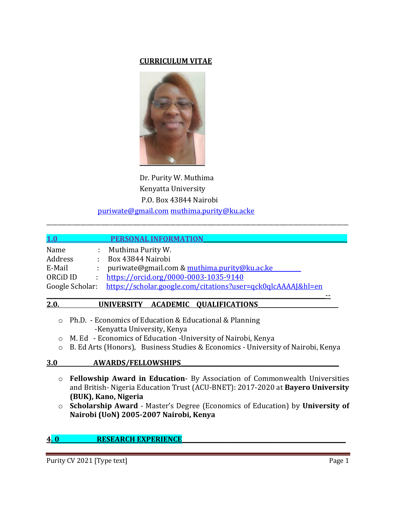## **CURRICULUM VITAE**



Dr. Purity W. Muthima Kenyatta University P.O. Box 43844 Nairobi puriwate@gmail.com [muthima.purity@ku.acke](mailto:muthima.purity@ku.acke)

| 1.0                              | PERSONAL INFORMA                                             |
|----------------------------------|--------------------------------------------------------------|
| Name                             | Muthima Purity W.                                            |
| Address                          | Box 43844 Nairobi                                            |
| E-Mail                           | puriwate@gmail.com & muthima.purity@ku.ac.ke                 |
| ORC <sub>i</sub> D <sub>ID</sub> | https://orcid.org/0000-0003-1035-9140                        |
| Google Scholar:                  | https://scholar.google.com/citations?user=qck0qlcAAAAI&hl=en |
|                                  |                                                              |

\_\_\_\_\_\_\_\_\_\_\_\_\_\_\_\_\_\_\_\_\_\_\_\_\_\_\_\_\_\_\_\_\_\_\_\_\_\_\_\_\_\_\_\_\_\_\_\_\_\_\_\_\_\_\_\_\_\_\_\_\_\_\_\_\_\_\_\_\_\_\_\_\_\_\_\_\_\_\_\_\_\_\_\_\_\_\_\_\_\_\_\_\_\_\_\_\_\_\_\_\_\_\_\_\_

## 2.0. UNIVERSITY ACADEMIC QUALIFICATIONS

- o Ph.D. Economics of Education & Educational & Planning -Kenyatta University, Kenya
- o M. Ed Economics of Education -University of Nairobi, Kenya
- o B. Ed Arts (Honors), Business Studies & Economics University of Nairobi, Kenya

## **3.0 AWARDS/FELLOWSHIPS\_\_\_\_\_\_\_\_\_\_\_\_\_\_\_\_\_\_\_\_\_\_\_\_\_\_\_\_\_\_\_\_\_\_\_\_\_\_\_\_\_\_\_\_\_\_\_\_\_\_\_\_\_\_\_**

- o **Fellowship Award in Education** By Association of Commonwealth Universities and British- Nigeria Education Trust (ACU-BNET): 2017-2020 at **Bayero University (BUK), Kano, Nigeria**
- o **Scholarship Award** Master's Degree (Economics of Education) by **University of Nairobi (UoN) 2005-2007 Nairobi, Kenya**

# **4.0 RESEARCH EXPERIENCE**

Purity CV 2021 [Type text] Page 1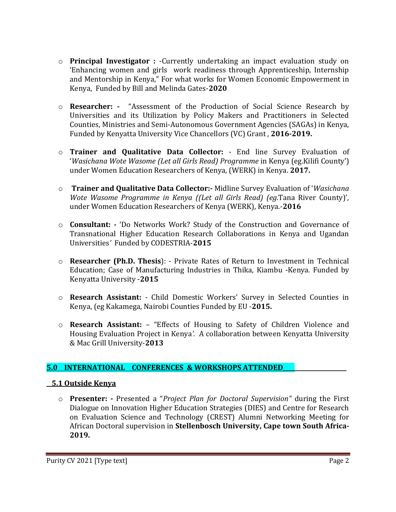- o **Principal Investigator :** -Currently undertaking an impact evaluation study on 'Enhancing women and girls work readiness through Apprenticeship, Internship and Mentorship in Kenya," For what works for Women Economic Empowerment in Kenya, Funded by Bill and Melinda Gates-**2020**
- o **Researcher: -** "Assessment of the Production of Social Science Research by Universities and its Utilization by Policy Makers and Practitioners in Selected Counties, Ministries and Semi-Autonomous Government Agencies (SAGAs) in Kenya, Funded by Kenyatta University Vice Chancellors (VC) Grant , **2016-2019.**
- o **Trainer and Qualitative Data Collector:**  End line Survey Evaluation of '*Wasichana Wote Wasome (Let all Girls Read) Programme* in Kenya (eg.Kilifi County') under Women Education Researchers of Kenya, (WERK) in Kenya. **2017.**
- o **Trainer and Qualitative Data Collector:-** Midline Survey Evaluation of '*Wasichana Wote Wasome Programme in Kenya ((Let all Girls Read) (eg.*Tana River County)'*,*  under Women Education Researchers of Kenya (WERK), Kenya.-**2016**
- o **Consultant: -** 'Do Networks Work? Study of the Construction and Governance of Transnational Higher Education Research Collaborations in Kenya and Ugandan Universities*'* Funded by CODESTRIA-**2015**
- o **Researcher (Ph.D. Thesis**): Private Rates of Return to Investment in Technical Education; Case of Manufacturing Industries in Thika, Kiambu -Kenya. Funded by Kenyatta University -**2015**
- o **Research Assistant:**  Child Domestic Workers' Survey in Selected Counties in Kenya, (eg Kakamega, Nairobi Counties Funded by EU -**2015.**
- o **Research Assistant:** "Effects of Housing to Safety of Children Violence and Housing Evaluation Project in Kenya*'.* A collaboration between Kenyatta University & Mac Grill University-**2013**

# **5.0 INTERNATIONAL CONFERENCES & WORKSHOPS ATTENDED\_\_\_\_\_\_\_\_\_\_\_\_\_\_\_\_\_\_\_\_\_\_**

# **5.1 Outside Kenya**

o **Presenter: -** Presented a "*Project Plan for Doctoral Supervision"* during the First Dialogue on Innovation Higher Education Strategies (DIES) and Centre for Research on Evaluation Science and Technology (CREST) Alumni Networking Meeting for African Doctoral supervision in **Stellenbosch University, Cape town South Africa-2019.**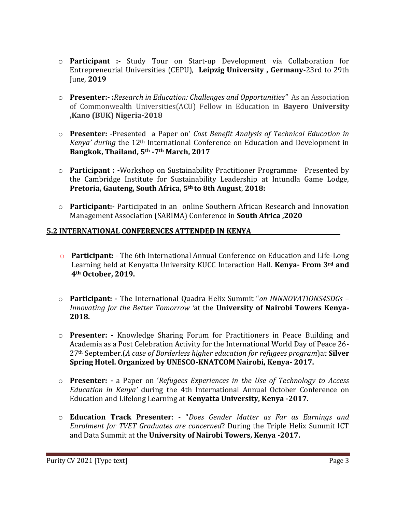- o **Participant :-** Study Tour on Start-up Development via Collaboration for Entrepreneurial Universities (CEPU), **Leipzig University , Germany-**23rd to 29th June, **2019**
- o **Presenter:- :***Research in Education: Challenges and Opportunities"* As an Association of Commonwealth Universities(ACU) Fellow in Education in **Bayero University ,Kano (BUK) Nigeria-2018**
- o **Presenter:** -Presented a Paper on' *Cost Benefit Analysis of Technical Education in Kenya' during* the 12th International Conference on Education and Development in **Bangkok, Thailand, 5th -7th March, 2017**
- o **Participant : -**Workshop on Sustainability Practitioner Programme Presented by the Cambridge Institute for Sustainability Leadership at Intundla Game Lodge, **Pretoria, Gauteng, South Africa, 5th to 8th August**, **2018:**
- o **Participant:-** Participated in an online Southern African Research and Innovation Management Association (SARIMA) Conference in **South Africa ,2020**

# **5.2 INTERNATIONAL CONFERENCES ATTENDED IN KENYA\_\_\_\_\_\_\_\_\_\_\_\_\_\_\_\_\_\_\_\_\_\_\_\_\_\_\_\_\_\_\_**

- o **Participant:** The 6th International Annual Conference on Education and Life-Long Learning held at Kenyatta University KUCC Interaction Hall. **Kenya- From 3rd and 4th October, 2019.**
- o **Participant: -** The International Quadra Helix Summit "*on INNNOVATIONS4SDGs – Innovating for the Better Tomorrow '*at the **University of Nairobi Towers Kenya-2018.**
- o **Presenter: -** Knowledge Sharing Forum for Practitioners in Peace Building and Academia as a Post Celebration Activity for the International World Day of Peace 26- 27th September.(*A case of Borderless higher education for refugees program*)at **Silver Spring Hotel. Organized by UNESCO-KNATCOM Nairobi, Kenya- 2017.**
- o **Presenter: -** a Paper on '*Refugees Experiences in the Use of Technology to Access Education in Kenya'* during the 4th International Annual October Conference on Education and Lifelong Learning at **Kenyatta University, Kenya -2017.**
- o **Education Track Presenter**: "*Does Gender Matter as Far as Earnings and Enrolment for TVET Graduates are concerned*? During the Triple Helix Summit ICT and Data Summit at the **University of Nairobi Towers, Kenya -2017.**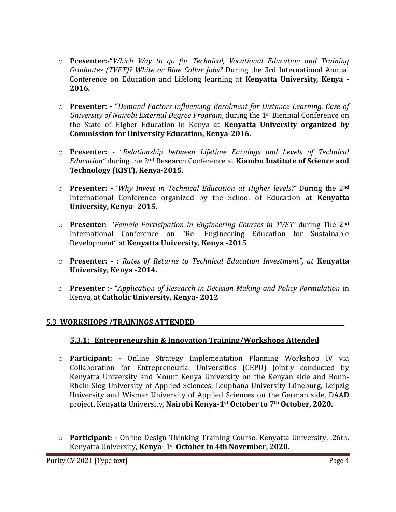- o **Presenter:**-"*Which Way to go for Technical, Vocational Education and Training Graduates (TVET)? White or Blue Collar Jobs?* During the 3rd International Annual Conference on Education and Lifelong learning at **Kenyatta University, Kenya - 2016.**
- o **Presenter: - "***Demand Factors Influencing Enrolment for Distance Learning. Case of University of Nairobi External Degree Program*, during the 1st Biennial Conference on the State of Higher Education in Kenya at **Kenyatta University organized by Commission for University Education, Kenya-2016.**
- o **Presenter: -** "*Relationship between Lifetime Earnings and Levels of Technical Education"* during the 2nd Research Conference at **Kiambu Institute of Science and Technology (KIST), Kenya-2015.**
- o **Presenter: -** '*Why Invest in Technical Education at Higher levels?'* During the 2nd International Conference organized by the School of Education at **Kenyatta University, Kenya- 2015.**
- o **Presenter**:- '*Female Participation in Engineering Courses in TVET'* during The 2nd International Conference on "Re- Engineering Education for Sustainable Development" at **Kenyatta University, Kenya -2015**
- o **Presenter: -** : *Rates of Returns to Technical Education Investment", at* **Kenyatta University, Kenya -2014.**
- o **Presenter** :- "*Application of Research in Decision Making and Policy Formulation* in Kenya, at **Catholic University, Kenya- 2012**

# 5.3 **WORKSHOPS /TRAININGS ATTENDED\_\_\_\_\_\_\_\_\_\_\_\_\_\_\_\_\_\_\_\_\_\_\_\_\_\_\_\_\_\_\_\_\_\_\_\_\_\_\_\_\_\_\_\_\_\_\_\_\_\_\_\_**

## **5.3.1: Entrepreneurship & Innovation Training/Workshops Attended**

- o **Participant:** Online Strategy Implementation Planning Workshop IV via Collaboration for Entrepreneurial Universities (CEPU) jointly conducted by Kenyatta University and Mount Kenya University on the Kenyan side and Bonn-Rhein-Sieg University of Applied Sciences, Leuphana University Lüneburg, Leipzig University and Wismar University of Applied Sciences on the German side, DAA**D** project**.** Kenyatta University, **Nairobi Kenya-1st October to 7th October, 2020.**
- o **Participant: -** Online Design Thinking Training Course. Kenyatta University, .26th. Kenyatta University**, Kenya-** 1st **October to 4th November, 2020.**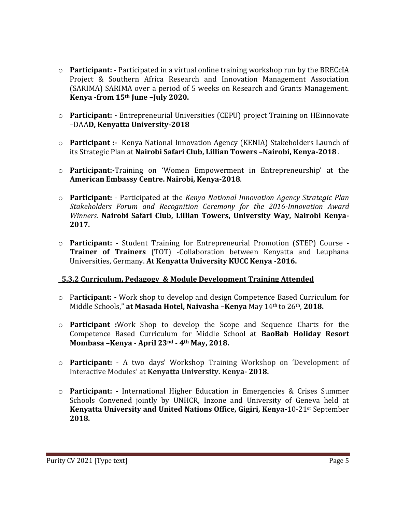- o **Participant:** Participated in a virtual online training workshop run by the BRECcIA Project & Southern Africa Research and Innovation Management Association (SARIMA) SARIMA over a period of 5 weeks on Research and Grants Management. **Kenya -from 15th June –July 2020.**
- o **Participant: -** Entrepreneurial Universities (CEPU) project Training on HEinnovate –DAA**D, Kenyatta University-2018**
- o **Participant :-** Kenya National Innovation Agency (KENIA) Stakeholders Launch of its Strategic Plan at **Nairobi Safari Club, Lillian Towers –Nairobi, Kenya-2018** .
- o **Participant:-**Training on 'Women Empowerment in Entrepreneurship' at the **American Embassy Centre. Nairobi, Kenya-2018**.
- o **Participant:** Participated at the *Kenya National Innovation Agency Strategic Plan Stakeholders Forum and Recognition Ceremony for the 2016-Innovation Award Winners*. **Nairobi Safari Club, Lillian Towers, University Way, Nairobi Kenya-2017.**
- o **Participant: -** Student Training for Entrepreneurial Promotion (STEP) Course **Trainer of Trainers** (TOT) -Collaboration between Kenyatta and Leuphana Universities, Germany. **At Kenyatta University KUCC Kenya -2016.**

## **5.3.2 Curriculum, Pedagogy & Module Development Training Attended**

- o P**articipant: -** Work shop to develop and design Competence Based Curriculum for Middle Schools," **at Masada Hotel, Naivasha –Kenya** May 14th to 26th, **2018.**
- o **Participant :**Work Shop to develop the Scope and Sequence Charts for the Competence Based Curriculum for Middle School at **BaoBab Holiday Resort Mombasa –Kenya - April 23nd - 4th May, 2018.**
- o **Participant:**  A two days' Workshop Training Workshop on 'Development of Interactive Modules' at **Kenyatta University. Kenya- 2018.**
- o **Participant: -** International Higher Education in Emergencies & Crises Summer Schools Convened jointly by UNHCR, Inzone and University of Geneva held at **Kenyatta University and United Nations Office, Gigiri, Kenya-**10-21st September **2018.**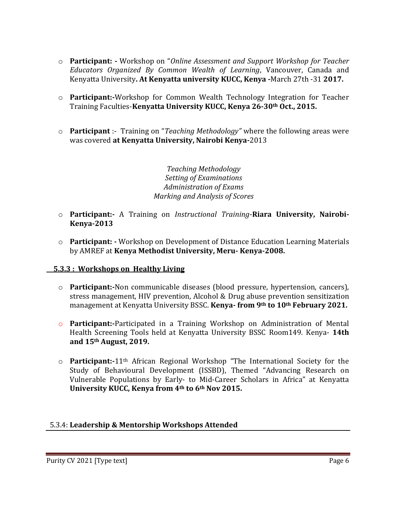- o **Participant: -** Workshop on "*Online Assessment and Support Workshop for Teacher Educators Organized By Common Wealth of Learning*, Vancouver, Canada and Kenyatta University**. At Kenyatta university KUCC, Kenya -**March 27th -31 **2017.**
- o **Participant:-**Workshop for Common Wealth Technology Integration for Teacher Training Faculties-**Kenyatta University KUCC, Kenya 26-30th Oct., 2015.**
- o **Participant** :- Training on "*Teaching Methodology"* where the following areas were was covered **at Kenyatta University, Nairobi Kenya-**2013

*Teaching Methodology Setting of Examinations Administration of Exams Marking and Analysis of Scores*

- o **Participant:-** A Training on *Instructional Training*-**Riara University, Nairobi-Kenya-2013**
- o **Participant: -** Workshop on Development of Distance Education Learning Materials by AMREF at **Kenya Methodist University, Meru- Kenya-2008.**

## **5.3.3 : Workshops on Healthy Living**

- o **Participant:-**Non communicable diseases (blood pressure, hypertension, cancers), stress management, HIV prevention, Alcohol & Drug abuse prevention sensitization management at Kenyatta University BSSC. **Kenya- from 9th to 10th February 2021.**
- o **Participant:-**Participated in a Training Workshop on Administration of Mental Health Screening Tools held at Kenyatta University BSSC Room149. Kenya- **14th and 15th August, 2019.**
- o **Participant:-**11th African Regional Workshop "The International Society for the Study of Behavioural Development (ISSBD), Themed "Advancing Research on Vulnerable Populations by Early- to Mid-Career Scholars in Africa" at Kenyatta **University KUCC, Kenya from 4th to 6th Nov 2015.**

## 5.3.4: **Leadership & Mentorship Workshops Attended**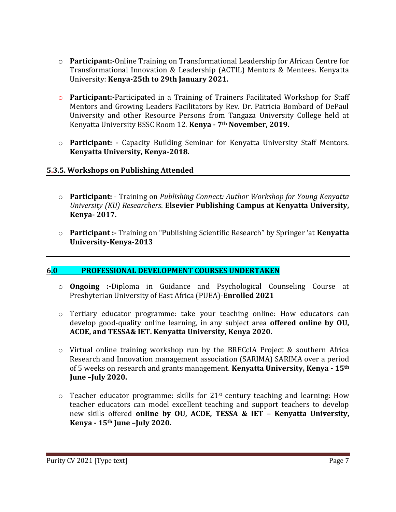- o **Participant:-**Online Training on Transformational Leadership for African Centre for Transformational Innovation & Leadership (ACTIL) Mentors & Mentees. Kenyatta University: **Kenya-25th to 29th January 2021.**
- o **Participant:-**Participated in a Training of Trainers Facilitated Workshop for Staff Mentors and Growing Leaders Facilitators by Rev. Dr. Patricia Bombard of DePaul University and other Resource Persons from Tangaza University College held at Kenyatta University BSSC Room 12. **Kenya - 7th November, 2019.**
- o **Participant: -** Capacity Building Seminar for Kenyatta University Staff Mentors. **Kenyatta University, Kenya-2018.**

## **5.3.5. Workshops on Publishing Attended**

- o **Participant:** Training on *Publishing Connect: Author Workshop for Young Kenyatta University (KU) Researchers*. **Elsevier Publishing Campus at Kenyatta University, Kenya- 2017.**
- o **Participant :-** Training on "Publishing Scientific Research" by Springer 'at **Kenyatta University-Kenya-2013**

## **6.0 PROFESSIONAL DEVELOPMENT COURSES UNDERTAKEN**

- o **Ongoing :-**Diploma in Guidance and Psychological Counseling Course at Presbyterian University of East Africa (PUEA)-**Enrolled 2021**
- o Tertiary educator programme: take your teaching online: How educators can develop good-quality online learning, in any subject area **offered online by OU, ACDE, and TESSA& IET. Kenyatta University, Kenya 2020.**
- $\circ$  Virtual online training workshop run by the BRECCIA Project & southern Africa Research and Innovation management association (SARIMA) SARIMA over a period of 5 weeks on research and grants management. **Kenyatta University, Kenya - 15th June –July 2020.**
- $\circ$  Teacher educator programme: skills for 21<sup>st</sup> century teaching and learning: How teacher educators can model excellent teaching and support teachers to develop new skills offered **online by OU, ACDE, TESSA & IET – Kenyatta University, Kenya - 15th June –July 2020.**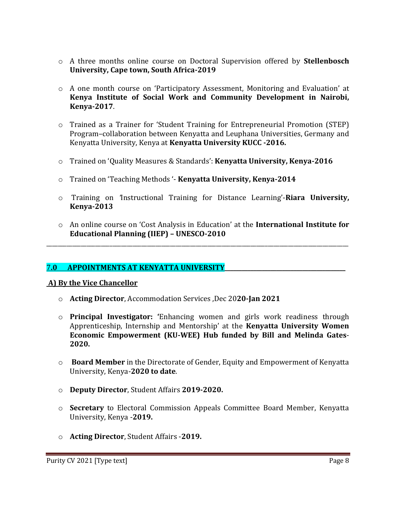- o A three months online course on Doctoral Supervision offered by **Stellenbosch University, Cape town, South Africa-2019**
- o A one month course on 'Participatory Assessment, Monitoring and Evaluation' at **Kenya Institute of Social Work and Community Development in Nairobi, Kenya-2017**.
- o Trained as a Trainer for 'Student Training for Entrepreneurial Promotion (STEP) Program–collaboration between Kenyatta and Leuphana Universities, Germany and Kenyatta University, Kenya at **Kenyatta University KUCC -2016.**
- o Trained on 'Quality Measures & Standards': **Kenyatta University, Kenya-2016**
- o Trained on 'Teaching Methods '- **Kenyatta University, Kenya-2014**
- o Training on *'*Instructional Training for Distance Learning'-**Riara University, Kenya-2013**
- o An online course on 'Cost Analysis in Education' at the **International Institute for Educational Planning (IIEP) – UNESCO-2010**

\_\_\_\_\_\_\_\_\_\_\_\_\_\_\_\_\_\_\_\_\_\_\_\_\_\_\_\_\_\_\_\_\_\_\_\_\_\_\_\_\_\_\_\_\_\_\_\_\_\_\_\_\_\_\_\_\_\_\_\_\_\_\_\_\_\_\_\_\_\_\_\_\_\_\_\_\_\_\_\_\_\_\_\_\_\_\_\_\_\_\_\_\_\_\_\_\_\_\_\_\_\_\_\_\_

## 7**.0 APPOINTMENTS AT KENYATTA UNIVERSITY\_\_\_\_\_\_\_\_\_\_\_\_\_\_\_\_\_\_\_\_\_\_\_\_\_\_\_\_\_\_\_\_\_\_\_\_\_\_\_\_\_\_**

## **A) By the Vice Chancellor**

- o **Acting Director**, Accommodation Services ,Dec 20**20-Jan 2021**
- o **Principal Investigator: '**Enhancing women and girls work readiness through Apprenticeship, Internship and Mentorship' at the **Kenyatta University Women Economic Empowerment (KU-WEE) Hub funded by Bill and Melinda Gates**-**2020.**
- o **Board Member** in the Directorate of Gender, Equity and Empowerment of Kenyatta University, Kenya-**2020 to date**.
- o **Deputy Director**, Student Affairs **2019-2020.**
- o **Secretary** to Electoral Commission Appeals Committee Board Member, Kenyatta University, Kenya -**2019.**
- o **Acting Director**, Student Affairs -**2019.**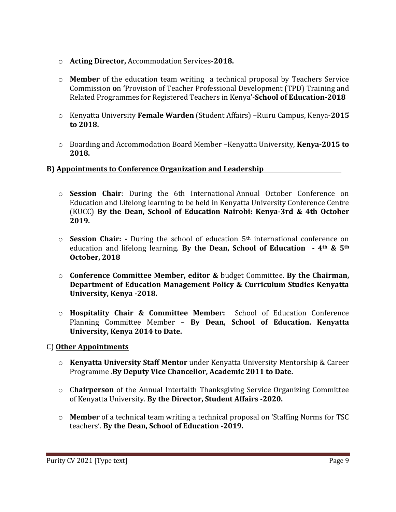- o **Acting Director,** Accommodation Services-**2018.**
- o **Member** of the education team writing a technical proposal by Teachers Service Commission **o**n **'**Provision of Teacher Professional Development (TPD) Training and Related Programmes for Registered Teachers in Kenya'-**School of Education-2018**
- o Kenyatta University **Female Warden** (Student Affairs) –Ruiru Campus, Kenya-**2015 to 2018.**
- o Boarding and Accommodation Board Member –Kenyatta University, **Kenya-2015 to 2018.**

## **B) Appointments to Conference Organization and Leadership\_\_\_\_\_\_\_\_\_\_\_\_\_\_\_\_\_\_\_\_\_\_\_\_\_\_\_**

- o **Session Chair**: During the 6th International Annual October Conference on Education and Lifelong learning to be held in Kenyatta University Conference Centre (KUCC) **By the Dean, School of Education Nairobi: Kenya-3rd & 4th October 2019.**
- o **Session Chair: -** During the school of education 5th international conference on education and lifelong learning. **By the Dean, School of Education - 4th & 5th October, 2018**
- o **Conference Committee Member, editor &** budget Committee. **By the Chairman, Department of Education Management Policy & Curriculum Studies Kenyatta University, Kenya -2018.**
- o **Hospitality Chair & Committee Member:** School of Education Conference Planning Committee Member – **By Dean, School of Education. Kenyatta University, Kenya 2014 to Date.**

# C) **Other Appointments**

- o **Kenyatta University Staff Mentor** under Kenyatta University Mentorship & Career Programme .**By Deputy Vice Chancellor, Academic 2011 to Date.**
- o C**hairperson** of the Annual Interfaith Thanksgiving Service Organizing Committee of Kenyatta University. **By the Director, Student Affairs -2020.**
- o **Member** of a technical team writing a technical proposal on 'Staffing Norms for TSC teachers'. **By the Dean, School of Education -2019.**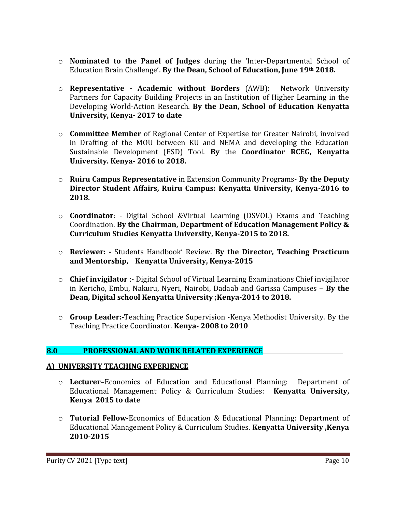- o **Nominated to the Panel of Judges** during the 'Inter-Departmental School of Education Brain Challenge'. **By the Dean, School of Education, June 19th 2018.**
- o **Representative - Academic without Borders** (AWB): Network University Partners for Capacity Building Projects in an Institution of Higher Learning in the Developing World-Action Research. **By the Dean, School of Education Kenyatta University, Kenya- 2017 to date**
- o **Committee Member** of Regional Center of Expertise for Greater Nairobi, involved in Drafting of the MOU between KU and NEMA and developing the Education Sustainable Development (ESD) Tool. **By** the **Coordinator RCEG, Kenyatta University. Kenya- 2016 to 2018.**
- o **Ruiru Campus Representative** in Extension Community Programs- **By the Deputy Director Student Affairs, Ruiru Campus: Kenyatta University, Kenya-2016 to 2018.**
- o **Coordinator**: Digital School &Virtual Learning (DSVOL) Exams and Teaching Coordination. **By the Chairman, Department of Education Management Policy & Curriculum Studies Kenyatta University, Kenya-2015 to 2018.**
- o **Reviewer: -** Students Handbook' Review. **By the Director, Teaching Practicum and Mentorship, Kenyatta University, Kenya-2015**
- o **Chief invigilator** :- Digital School of Virtual Learning Examinations Chief invigilator in Kericho, Embu, Nakuru, Nyeri, Nairobi, Dadaab and Garissa Campuses – **By the Dean, Digital school Kenyatta University ;Kenya-2014 to 2018.**
- o **Group Leader:-**Teaching Practice Supervision -Kenya Methodist University. By the Teaching Practice Coordinator. **Kenya- 2008 to 2010**

# 8.0 PROFESSIONAL AND WORK RELATED EXPERIENCE

## **A) UNIVERSITY TEACHING EXPERIENCE**

- o **Lecturer**–Economics of Education and Educational Planning: Department of Educational Management Policy & Curriculum Studies: **Kenyatta University, Kenya 2015 to date**
- o **Tutorial Fellow**-Economics of Education & Educational Planning: Department of Educational Management Policy & Curriculum Studies. **Kenyatta University ,Kenya 2010-2015**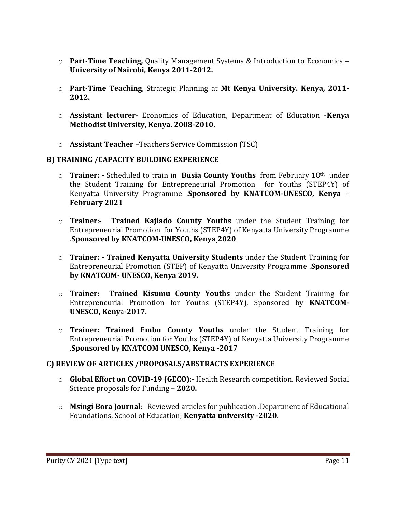- o **Part-Time Teaching,** Quality Management Systems & Introduction to Economics **University of Nairobi, Kenya 2011-2012.**
- o **Part-Time Teaching**, Strategic Planning at **Mt Kenya University. Kenya, 2011- 2012.**
- o **Assistant lecturer** Economics of Education, Department of Education -**Kenya Methodist University, Kenya. 2008-2010.**
- o **Assistant Teacher** –Teachers Service Commission (TSC)

#### **B) TRAINING /CAPACITY BUILDING EXPERIENCE**

- o **Trainer: -** Scheduled to train in **Busia County Youths** from February 18th under the Student Training for Entrepreneurial Promotion for Youths (STEP4Y) of Kenyatta University Programme .**Sponsored by KNATCOM-UNESCO, Kenya – February 2021**
- o **Trainer**:- **Trained Kajiado County Youths** under the Student Training for Entrepreneurial Promotion for Youths (STEP4Y) of Kenyatta University Programme .**Sponsored by KNATCOM-UNESCO, Kenya 2020**
- o **Trainer: - Trained Kenyatta University Students** under the Student Training for Entrepreneurial Promotion (STEP) of Kenyatta University Programme .**Sponsored by KNATCOM- UNESCO, Kenya 2019.**
- o **Trainer: Trained Kisumu County Youths** under the Student Training for Entrepreneurial Promotion for Youths (STEP4Y), Sponsored by **KNATCOM-UNESCO, Keny**a**-2017.**
- o **Trainer: Trained** E**mbu County Youths** under the Student Training for Entrepreneurial Promotion for Youths (STEP4Y) of Kenyatta University Programme .**Sponsored by KNATCOM UNESCO, Kenya -2017**

## **C) REVIEW OF ARTICLES /PROPOSALS/ABSTRACTS EXPERIENCE**

- o **Global Effort on COVID-19 (GECO):-** Health Research competition. Reviewed Social Science proposals for Funding – **2020.**
- o **Msingi Bora Journal**: -Reviewed articles for publication .Department of Educational Foundations, School of Education; **Kenyatta university -2020**.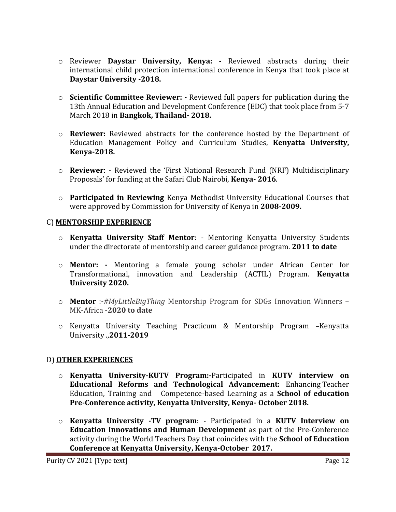- o Reviewer **Daystar University, Kenya: -** Reviewed abstracts during their international child protection international conference in Kenya that took place at **Daystar University -2018.**
- o **Scientific Committee Reviewer: -** Reviewed full papers for publication during the 13th Annual Education and Development Conference (EDC) that took place from 5-7 March 2018 in **Bangkok, Thailand- 2018.**
- o **Reviewer:** Reviewed abstracts for the conference hosted by the Department of Education Management Policy and Curriculum Studies, **Kenyatta University, Kenya-2018.**
- o **Reviewer**: Reviewed the 'First National Research Fund (NRF) Multidisciplinary Proposals' for funding at the Safari Club Nairobi, **Kenya- 2016**.
- o **Participated in Reviewing** Kenya Methodist University Educational Courses that were approved by Commission for University of Kenya in **2008-2009.**

#### C) **MENTORSHIP EXPERIENCE**

- o **Kenyatta University Staff Mentor**: Mentoring Kenyatta University Students under the directorate of mentorship and career guidance program. **2011 to date**
- o **Mentor: -** Mentoring a female young scholar under African Center for Transformational, innovation and Leadership (ACTIL) Program. **Kenyatta University 2020.**
- o **Mentor** :-*#MyLittleBigThing* Mentorship Program for SDGs Innovation Winners MK-Africa -**2020 to date**
- o Kenyatta University Teaching Practicum & Mentorship Program –Kenyatta University .,**2011-2019**

## D) **OTHER EXPERIENCES**

- o **Kenyatta University-KUTV Program:-**Participated in **KUTV interview on Educational Reforms and Technological Advancement:** Enhancing Teacher Education, Training and Competence-based Learning as a **School of education Pre-Conference activity, Kenyatta University, Kenya- October 2018.**
- o **Kenyatta University -TV program**: Participated in a **KUTV Interview on Education Innovations and Human Developmen**t as part of the Pre-Conference activity during the World Teachers Day that coincides with the **School of Education Conference at Kenyatta University, Kenya-October 2017.**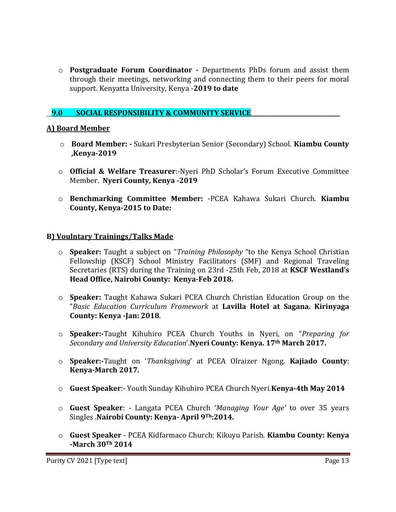o **Postgraduate Forum Coordinator -** Departments PhDs forum and assist them through their meetings, networking and connecting them to their peers for moral support. Kenyatta University, Kenya -**2019 to date**

## **9.0 SOCIAL RESPONSIBILITY & COMMUNITY SERVICE**

#### **A) Board Member**

- o **Board Member: -** Sukari Presbyterian Senior (Secondary) School. **Kiambu County ,Kenya-2019**
- o **Official & Welfare Treasurer**:-Nyeri PhD Scholar's Forum Executive Committee Member. **Nyeri County, Kenya -2019**
- o **Benchmarking Committee Member:** -PCEA Kahawa Sukari Church. **Kiambu County, Kenya-2015 to Date:**

#### **B) Voulntary Trainings/Talks Made**

- o **Speaker:** Taught a subject on "*Training Philosophy* "to the Kenya School Christian Fellowship (KSCF) School Ministry Facilitators (SMF) and Regional Traveling Secretaries (RTS) during the Training on 23rd -25th Feb, 2018 at **KSCF Westland's Head Office, Nairobi County: Kenya-Feb 2018.**
- o **Speaker:** Taught Kahawa Sukari PCEA Church Christian Education Group on the "*Basic Education Curriculum Framework* at **Lavilla Hotel at Sagana. Kirinyaga County: Kenya -Jan: 2018**.
- o **Speaker:-**Taught Kihuhiro PCEA Church Youths in Nyeri, on "*Preparing for Secondary and University Education*'.**Nyeri County: Kenya. 17th March 2017.**
- o **Speaker:-**Taught on '*Thanksgiving*' at PCEA Olraizer Ngong. **Kajiado County**: **Kenya-March 2017.**
- o **Guest Speaker**:- Youth Sunday Kihuhiro PCEA Church Nyeri.**Kenya-4th May 2014**
- o **Guest Speaker**: Langata PCEA Church '*Managing Your Age'* to over 35 years Singles .**Nairobi County: Kenya- April 9Th:2014.**
- o **Guest Speaker** PCEA Kidfarmaco Church: Kikuyu Parish. **Kiambu County: Kenya -March 30Th 2014**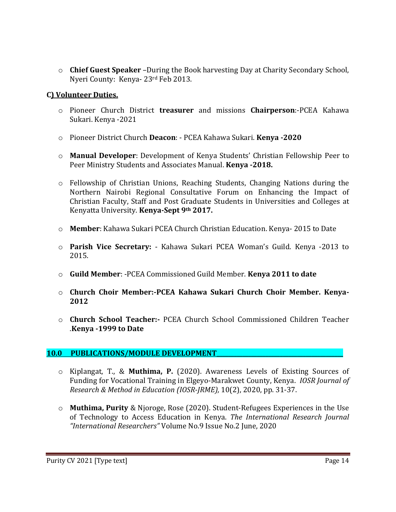o **Chief Guest Speaker** –During the Book harvesting Day at Charity Secondary School, Nyeri County: Kenya- 23rd Feb 2013.

#### **C) Volunteer Duties.**

- o Pioneer Church District **treasurer** and missions **Chairperson**:-PCEA Kahawa Sukari. Kenya -2021
- o Pioneer District Church **Deacon**: PCEA Kahawa Sukari. **Kenya -2020**
- o **Manual Developer**: Development of Kenya Students' Christian Fellowship Peer to Peer Ministry Students and Associates Manual. **Kenya -2018.**
- o Fellowship of Christian Unions, Reaching Students, Changing Nations during the Northern Nairobi Regional Consultative Forum on Enhancing the Impact of Christian Faculty, Staff and Post Graduate Students in Universities and Colleges at Kenyatta University. **Kenya-Sept 9th 2017.**
- o **Member**: Kahawa Sukari PCEA Church Christian Education. Kenya- 2015 to Date
- o **Parish Vice Secretary:** Kahawa Sukari PCEA Woman's Guild. Kenya -2013 to 2015.
- o **Guild Member**: -PCEA Commissioned Guild Member. **Kenya 2011 to date**
- o **Church Choir Member:-PCEA Kahawa Sukari Church Choir Member. Kenya-2012**
- o **Church School Teacher:-** PCEA Church School Commissioned Children Teacher .**Kenya -1999 to Date**

## 10.0 PUBLICATIONS/MODULE DEVELOPMENT

- o Kiplangat, T., & **Muthima, P.** (2020). Awareness Levels of Existing Sources of Funding for Vocational Training in Elgeyo-Marakwet County, Kenya. *IOSR Journal of Research & Method in Education (IOSR-JRME),* 10(2), 2020, pp. 31-37.
- o **Muthima, Purity** & Njoroge, Rose (2020). Student-Refugees Experiences in the Use of Technology to Access Education in Kenya. *The International Research Journal "International Researchers"* Volume No.9 Issue No.2 June, 2020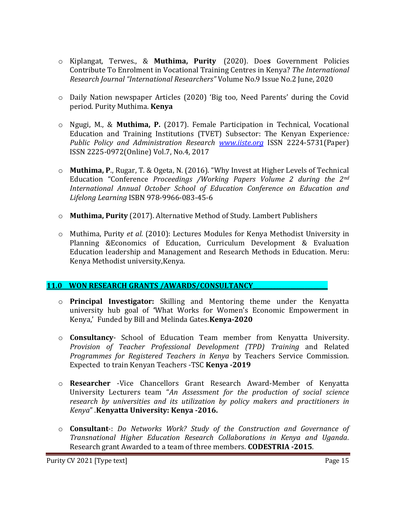- o Kiplangat, Terwes., & **Muthima, Purity** (2020). Doe**s** Government Policies Contribute To Enrolment in Vocational Training Centres in Kenya? *The International Research Journal "International Researchers"* Volume No.9 Issue No.2 June, 2020
- o Daily Nation newspaper Articles (2020) 'Big too, Need Parents' during the Covid period. Purity Muthima. **Kenya**
- o Ngugi, M., & **Muthima, P.** (2017). Female Participation in Technical, Vocational Education and Training Institutions (TVET) Subsector: The Kenyan Experience*: Public Policy and Administration Research [www.iiste.org](http://www.iiste.org/)* ISSN 2224-5731(Paper) ISSN 2225-0972(Online) Vol.7, No.4, 2017
- o **Muthima, P**., Rugar, T. & Ogeta, N. (2016). "Why Invest at Higher Levels of Technical Education "Conference *Proceedings /Working Papers Volume 2 during the 2nd International Annual October School of Education Conference on Education and Lifelong Learning* ISBN 978-9966-083-45-6
- o **Muthima, Purity** (2017). Alternative Method of Study. Lambert Publishers
- o Muthima, Purity *et al.* (2010): Lectures Modules for Kenya Methodist University in Planning &Economics of Education, Curriculum Development & Evaluation Education leadership and Management and Research Methods in Education. Meru: Kenya Methodist university,Kenya.

## **11.0 WON RESEARCH GRANTS /AWARDS/CONSULTANCY\_\_\_\_\_\_\_\_\_\_\_\_\_\_\_\_\_\_\_\_\_\_\_\_\_\_**

- o **Principal Investigator:** Skilling and Mentoring theme under the Kenyatta university hub goal of **'**What Works for Women's Economic Empowerment in Kenya,' Funded by Bill and Melinda Gates.**Kenya-2020**
- o **Consultancy** School of Education Team member from Kenyatta University. *Provision of Teacher Professional Development (TPD) Training* and Related *Programmes for Registered Teachers in Kenya* by Teachers Service Commission. Expected to train Kenyan Teachers -TSC **Kenya -2019**
- o **Researcher** -Vice Chancellors Grant Research Award-Member of Kenyatta University Lecturers team "*An Assessment for the production of social science research by universities and its utilization by policy makers and practitioners in Kenya*" .**Kenyatta University: Kenya -2016.**
- o **Consultant**-: *Do Networks Work? Study of the Construction and Governance of Transnational Higher Education Research Collaborations in Kenya and Uganda.* Research grant Awarded to a team of three members. **CODESTRIA -2015**.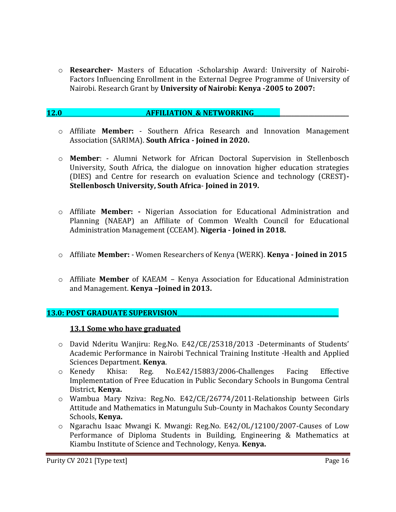o **Researcher-** Masters of Education -Scholarship Award: University of Nairobi-Factors Influencing Enrollment in the External Degree Programme of University of Nairobi. Research Grant by **University of Nairobi: Kenya -2005 to 2007:**

#### **12.0 AFFILIATION & NETWORKING**

- o Affiliate **Member:** Southern Africa Research and Innovation Management Association (SARIMA). **South Africa - Joined in 2020.**
- o **Member**: Alumni Network for African Doctoral Supervision in Stellenbosch University, South Africa, the dialogue on innovation higher education strategies (DIES) and Centre for research on evaluation Science and technology (CREST)**- Stellenbosch University, South Africa**- **Joined in 2019.**
- o Affiliate **Member: -** Nigerian Association for Educational Administration and Planning (NAEAP) an Affiliate of Common Wealth Council for Educational Administration Management (CCEAM). **Nigeria - Joined in 2018.**
- o Affiliate **Member:** Women Researchers of Kenya (WERK). **Kenya - Joined in 2015**
- o Affiliate **Member** of KAEAM Kenya Association for Educational Administration and Management. **Kenya –Joined in 2013.**

#### **13.0: POST GRADUATE SUPERVISION**

#### **13.1 Some who have graduated**

- o David Nderitu Wanjiru: Reg.No. E42/CE/25318/2013 -Determinants of Students' Academic Performance in Nairobi Technical Training Institute -Health and Applied Sciences Department. **Kenya**.
- o Kenedy Khisa: Reg. No.E42/15883/2006-Challenges Facing Effective Implementation of Free Education in Public Secondary Schools in Bungoma Central District, **Kenya.**
- o Wambua Mary Nziva: Reg.No. E42/CE/26774/2011-Relationship between Girls Attitude and Mathematics in Matungulu Sub-County in Machakos County Secondary Schools, **Kenya.**
- o Ngarachu Isaac Mwangi K. Mwangi: Reg.No. E42/OL/12100/2007-Causes of Low Performance of Diploma Students in Building, Engineering & Mathematics at Kiambu Institute of Science and Technology, Kenya. **Kenya.**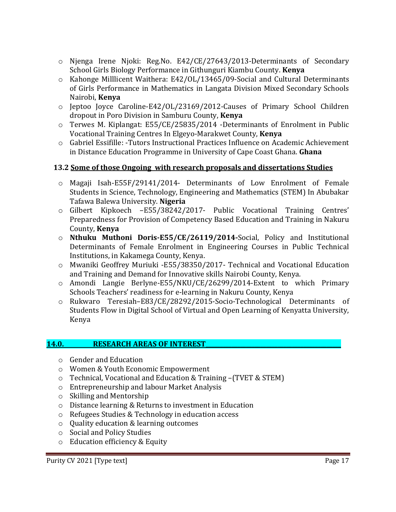- o Njenga Irene Njoki: Reg.No. E42/CE/27643/2013-Determinants of Secondary School Girls Biology Performance in Githunguri Kiambu County. **Kenya**
- o Kahonge Milllicent Waithera: E42/OL/13465/09-Social and Cultural Determinants of Girls Performance in Mathematics in Langata Division Mixed Secondary Schools Nairobi, **Kenya**
- o Jeptoo Joyce Caroline-E42/OL/23169/2012-Causes of Primary School Children dropout in Poro Division in Samburu County, **Kenya**
- o Terwes M. Kiplangat: E55/CE/25835/2014 -Determinants of Enrolment in Public Vocational Training Centres In Elgeyo-Marakwet County, **Kenya**
- o Gabriel Essifille: -Tutors Instructional Practices Influence on Academic Achievement in Distance Education Programme in University of Cape Coast Ghana. **Ghana**

# **13.2 Some of those Ongoing with research proposals and dissertations Studies**

- o Magaji Isah-E55F/29141/2014- Determinants of Low Enrolment of Female Students in Science, Technology, Engineering and Mathematics (STEM) In Abubakar Tafawa Balewa University. **Nigeria**
- o Gilbert Kipkoech –E55/38242/2017- Public Vocational Training Centres' Preparedness for Provision of Competency Based Education and Training in Nakuru County, **Kenya**
- o **Nthuku Muthoni Doris-E55/CE/26119/2014-**Social, Policy and Institutional Determinants of Female Enrolment in Engineering Courses in Public Technical Institutions, in Kakamega County, Kenya.
- o Mwaniki Geoffrey Muriuki -E55/38350/2017- Technical and Vocational Education and Training and Demand for Innovative skills Nairobi County, Kenya.
- o Amondi Langie Berlyne-E55/NKU/CE/26299/2014-Extent to which Primary Schools Teachers' readiness for e-learning in Nakuru County, Kenya
- o Rukwaro Teresiah–E83/CE/28292/2015-Socio-Technological Determinants of Students Flow in Digital School of Virtual and Open Learning of Kenyatta University, Kenya

## **14.0. RESEARCH AREAS OF INTEREST\_\_\_\_\_\_\_\_\_\_\_\_\_\_\_\_\_\_\_\_\_\_\_\_\_\_\_\_\_\_\_\_\_\_\_\_\_\_\_\_\_\_\_\_\_\_\_**

- o Gender and Education
- o Women & Youth Economic Empowerment
- o Technical, Vocational and Education & Training –(TVET & STEM)
- o Entrepreneurship and labour Market Analysis
- o Skilling and Mentorship
- o Distance learning & Returns to investment in Education
- o Refugees Studies & Technology in education access
- o Quality education & learning outcomes
- o Social and Policy Studies
- o Education efficiency & Equity